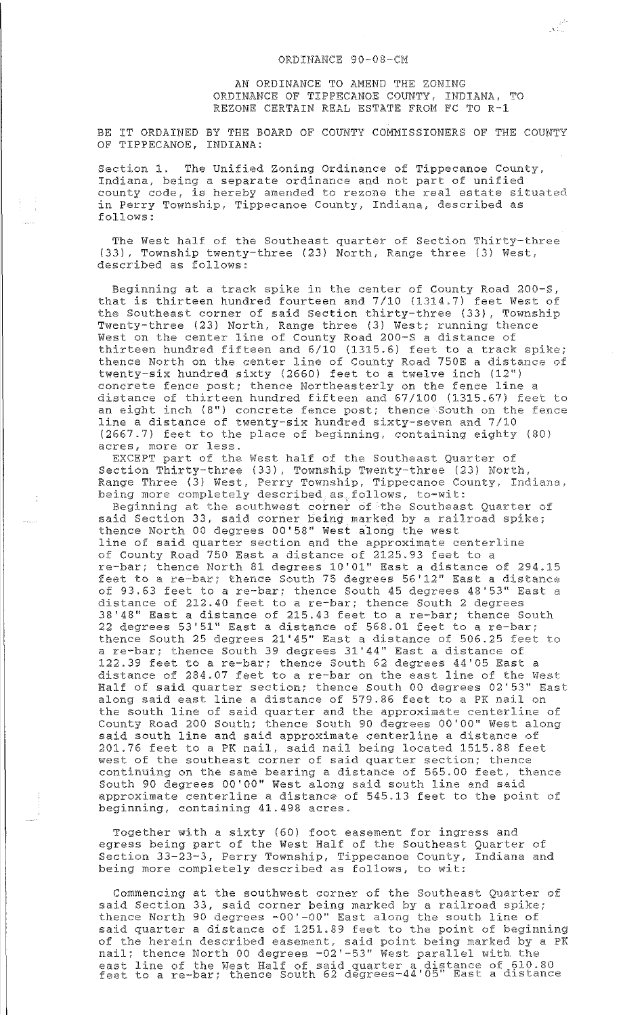AN ORDINANCE TO AMEND THE ZONING ORDINANCE OF TIPPECANOE COUNTY, INDIANA, TO REZONE CERTAIN REAL ESTATE FROM FC TO R-1

جمو<br>المنابع

BE IT ORDAINED BY THE BOARD OF COUNTY COMMISSIONERS OF THE COUNTY OF TIPPECANOE, INDIANA:

Section 1. The Unified Zoning Ordinance of Tippecanoe County, Indiana, being a separate ordinance and not part of unified county code, is hereby amended to rezone the real estate situated in Perry Township, Tippecanoe County, Indiana, described as follows:

The West half of the Southeast quarter of Section Thirty-three (33), Township twenty-three (23) North, Range three (3) West, described as follows:

Beginning at a track spike in the center of county Road 200-S, that is thirteen hundred fourteen and 7/10 (1314.7) feet West of the Southeast corner of said Section thirty-three (33), Township Twenty-three (23) North, Range three (3) West; running thence West on the center line of County Road 200-S a distance of thirteen hundred fifteen and 6/10 (1315.6) feet to a track spike; thence North on the center line of County Road 750E a distance of twenty-six hundred sixty (2660) feet to a twelve inch (12") concrete fence post; thence Northeasterly on the fence line a distance of thirteen hundred fifteen and 67/100 (1315.67) feet to an eight inch (8") concrete fence post; thence South on the fence line a distance of twenty-six hundred sixty-seven and 7/10 (2667.7) feet to the place of beginning, containing eighty (80) acres, more or less.

EXCEPT part of the West half of the Southeast Quarter of Section Thirty-three (33), Township Twenty-three (23) North, Range Three (3) West, Perry Township, Tippecanoe County, Indiana, being more completely described as follows, to-wit:

Beginning at the southwest corner of the Southeast Quarter of said Section 33, said corner being marked by a railroad spike; thence North 00 degrees 00'58" West along the west line of said quarter section and the approximate centerline of County Road 750 East a distance of 2125.93 feet to a re-bar; thence North 81 degrees 10'01'' East a distance of 294.15 feet to a re-bar; thence South 75 degrees 56'12'' East a distance of 93.63 feet to a re-bar; thence South 45 degrees 48'53'' East a distance of 212.40 feet to a re-bar; thence South 2 degrees 38'48" East a distance of 215.43 feet to a re-bar; thence South 22 degrees 53'51'' East a distance of 568.01 feet to a re-bar; thence South 25 degrees 21'45'' East a distance of 506.25 feet to a re-bar; thence South 39 degrees 31'44'' East a distance of 122.39 feet to a re-bar; thence South 62 degrees 44'05 East a distance of 284.07 feet to a re-bar on the east line of the West Half of said quarter section; thence south 00 degrees 02'53'' East along said east line a distance of 579.86 feet to a PK nail on the south line of said quarter and the approximate centerline of county Road 200 South; thence South 90 degrees 00'00" West along said south line and said approximate centerline a distance of 201.76 feet to a PK nail, said nail being located 1515.88 feet west of the southeast corner of said quarter section; thence continuing on the same bearing a distance of 565.00 feet, thence South 90 degrees 00'00" West along said south line and said approximate centerline a distance of 545.13 feet to the point of beginning, containing 41.498 acres.

Together with a sixty (60) foot easement for ingress and egress being part of the West Half of the Southeast Quarter of Section 33-23-3, Perry Township, Tippecanoe County, Indiana and being more completely described as follows, to wit:

Commencing at the southwest corner of the Southeast Quarter of said Section 33, said corner being marked by a railroad spike; thence North 90 degrees -00'-00" East along the south line of said quarter a distance of 1251.89 feet to the point of beginning of the herein described easement, said point being marked by a PK nail; thence North 00 degrees -02'-53'' West parallel with the east line of the West Half of said quarter a distance of 610.80 east line of the west hair of said quarter a distance of 610.80<br>feet to a re-bar; thence South 62 degrees-44'05" East a distance